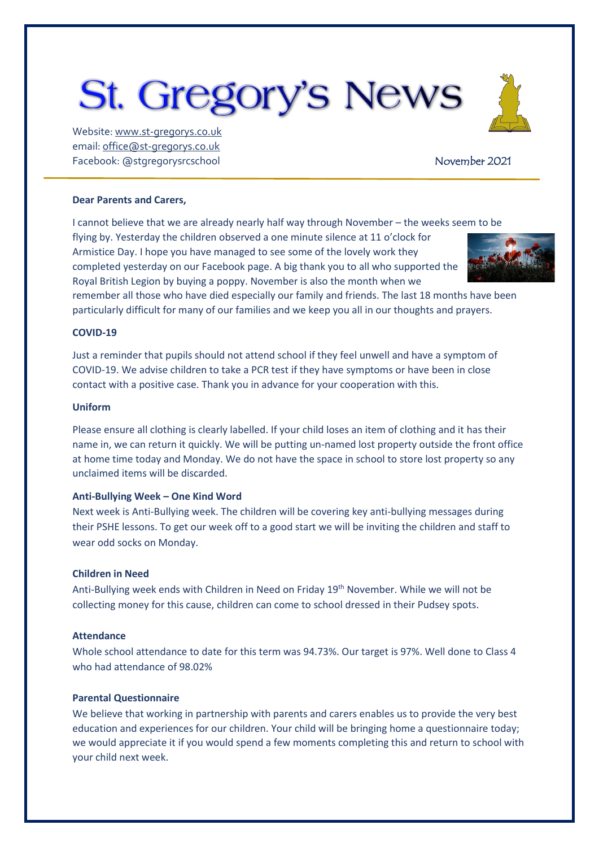# **St. Gregory's News**

Website[: www.st-gregorys.co.uk](http://www.st-gregorys.co.uk/) email[: office@st-gregorys.co.uk](mailto:office@st-gregorys.co.uk) Facebook: @stgregorysrcschool November 2021

#### **Dear Parents and Carers,**

I cannot believe that we are already nearly half way through November – the weeks seem to be flying by. Yesterday the children observed a one minute silence at 11 o'clock for Armistice Day. I hope you have managed to see some of the lovely work they completed yesterday on our Facebook page. A big thank you to all who supported the Royal British Legion by buying a poppy. November is also the month when we



remember all those who have died especially our family and friends. The last 18 months have been particularly difficult for many of our families and we keep you all in our thoughts and prayers.

#### **COVID-19**

Just a reminder that pupils should not attend school if they feel unwell and have a symptom of COVID-19. We advise children to take a PCR test if they have symptoms or have been in close contact with a positive case. Thank you in advance for your cooperation with this.

### **Uniform**

Please ensure all clothing is clearly labelled. If your child loses an item of clothing and it has their name in, we can return it quickly. We will be putting un-named lost property outside the front office at home time today and Monday. We do not have the space in school to store lost property so any unclaimed items will be discarded.

#### **Anti-Bullying Week – One Kind Word**

Next week is Anti-Bullying week. The children will be covering key anti-bullying messages during their PSHE lessons. To get our week off to a good start we will be inviting the children and staff to wear odd socks on Monday.

### **Children in Need**

Anti-Bullying week ends with Children in Need on Friday 19<sup>th</sup> November. While we will not be collecting money for this cause, children can come to school dressed in their Pudsey spots.

#### **Attendance**

Whole school attendance to date for this term was 94.73%. Our target is 97%. Well done to Class 4 who had attendance of 98.02%

## **Parental Questionnaire**

We believe that working in partnership with parents and carers enables us to provide the very best education and experiences for our children. Your child will be bringing home a questionnaire today; we would appreciate it if you would spend a few moments completing this and return to school with your child next week.